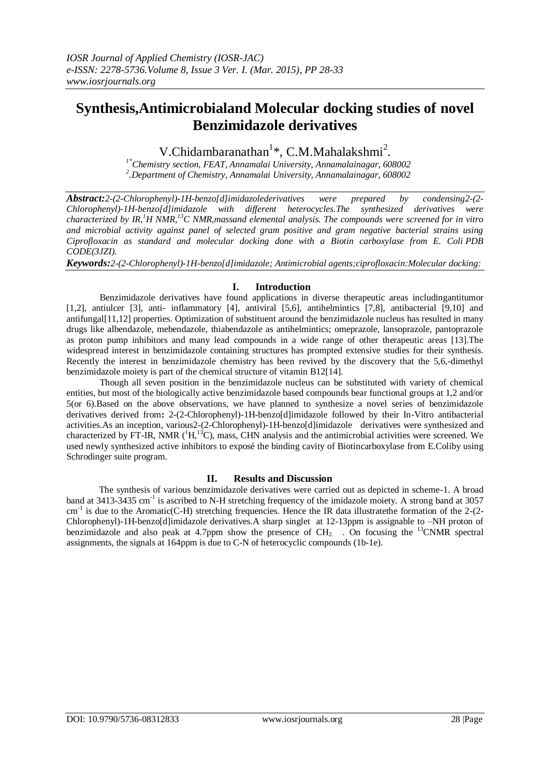# **Synthesis,Antimicrobialand Molecular docking studies of novel Benzimidazole derivatives**

V.Chidambaranathan<sup>1</sup>\*, C.M.Mahalakshmi<sup>2</sup>.

*1\*Chemistry section, FEAT, Annamalai University, Annamalainagar, 608002 2 .Department of Chemistry, Annamalai University, Annamalainagar, 608002*

*Abstract:2-(2-Chlorophenyl)-1H-benzo[d]imidazolederivatives were prepared by condensing2-(2- Chlorophenyl)-1H-benzo[d]imidazole with different heterocycles.The synthesized derivatives were characterized by IR,<sup>1</sup>H NMR,<sup>13</sup>C NMR,massand elemental analysis. The compounds were screened for in vitro and microbial activity against panel of selected gram positive and gram negative bacterial strains using Ciprofloxacin as standard and molecular docking done with a Biotin carboxylase from E. Coli PDB CODE(3JZI).*

*Keywords:2-(2-Chlorophenyl)-1H-benzo[d]imidazole; Antimicrobial agents;ciprofloxacin:Molecular docking:*

# **I. Introduction**

Benzimidazole derivatives have found applications in diverse therapeutic areas includingantitumor [1,2], antiulcer [3], anti- inflammatory [4], antiviral [5,6], antihelmintics [7,8], antibacterial [9,10] and antifungal[11,12] properties. Optimization of substituent around the benzimidazole nucleus has resulted in many drugs like albendazole, mebendazole, thiabendazole as antihelmintics; omeprazole, lansoprazole, pantoprazole as proton pump inhibitors and many lead compounds in a wide range of other therapeutic areas [13].The widespread interest in benzimidazole containing structures has prompted extensive studies for their synthesis. Recently the interest in benzimidazole chemistry has been revived by the discovery that the 5,6,-dimethyl benzimidazole moiety is part of the chemical structure of vitamin B12[14].

Though all seven position in the benzimidazole nucleus can be substituted with variety of chemical entities, but most of the biologically active benzimidazole based compounds bear functional groups at 1,2 and/or 5(or 6).Based on the above observations, we have planned to synthesize a novel series of benzimidazole derivatives derived from**:** 2-(2-Chlorophenyl)-1H-benzo[d]imidazole followed by their In-Vitro antibacterial activities.As an inception, various2-(2-Chlorophenyl)-1H-benzo[d]imidazole derivatives were synthesized and characterized by FT-IR, NMR  $(^1H,^{13}C)$ , mass, CHN analysis and the antimicrobial activities were screened. We used newly synthesized active inhibitors to exposé the binding cavity of Biotincarboxylase from E.Coliby using Schrodinger suite program.

# **II. Results and Discussion**

The synthesis of various benzimidazole derivatives were carried out as depicted in scheme-1. A broad band at 3413-3435 cm<sup>-1</sup> is ascribed to N-H stretching frequency of the imidazole moiety. A strong band at 3057 cm<sup>-1</sup> is due to the Aromatic(C-H) stretching frequencies. Hence the IR data illustratethe formation of the 2-(2-Chlorophenyl)-1H-benzo[d]imidazole derivatives.A sharp singlet at 12-13ppm is assignable to –NH proton of benzimidazole and also peak at 4.7ppm show the presence of  $CH<sub>2</sub>$ . On focusing the <sup>13</sup>CNMR spectral assignments, the signals at 164ppm is due to C-N of heterocyclic compounds (1b-1e).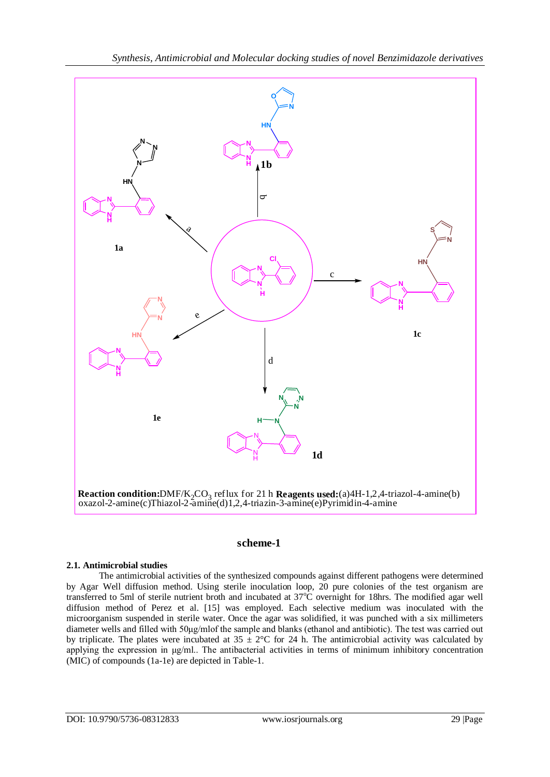

# **scheme-1**

# **2.1. Antimicrobial studies**

The antimicrobial activities of the synthesized compounds against different pathogens were determined by Agar Well diffusion method. Using sterile inoculation loop, 20 pure colonies of the test organism are transferred to 5ml of sterile nutrient broth and incubated at 37°C overnight for 18hrs. The modified agar well diffusion method of Perez et al. [15] was employed. Each selective medium was inoculated with the microorganism suspended in sterile water. Once the agar was solidified, it was punched with a six millimeters diameter wells and filled with 50μg/mlof the sample and blanks (ethanol and antibiotic). The test was carried out by triplicate. The plates were incubated at  $35 \pm 2^{\circ}$ C for 24 h. The antimicrobial activity was calculated by applying the expression in μg/ml.. The antibacterial activities in terms of minimum inhibitory concentration (MIC) of compounds (1a-1e) are depicted in Table-1.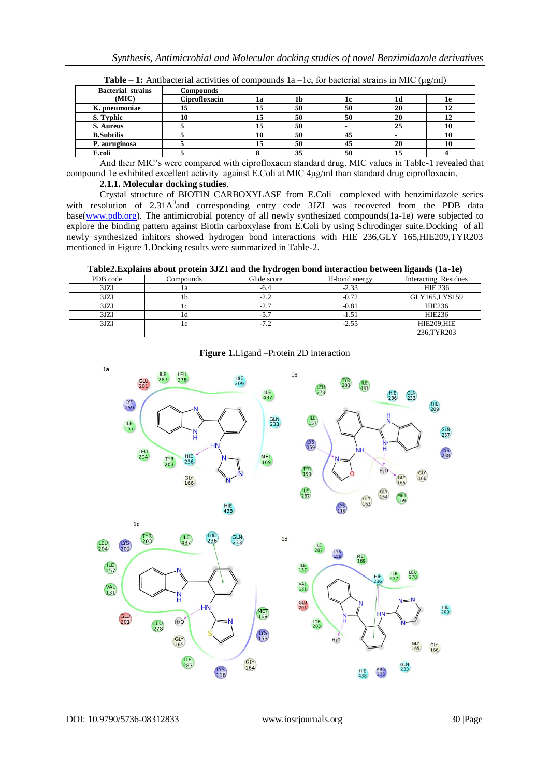| <b>Bacterial strains</b> | <b>Compounds</b> |    |    |    |    |           |
|--------------------------|------------------|----|----|----|----|-----------|
| (MIC)                    | Ciprofloxacin    | la | Tp | ıc | 1d | <b>Te</b> |
| K. pneumoniae            | ⊥J               | 15 | 50 | 50 | 20 | 12        |
| S. Typhic                |                  | 15 | 50 | 50 | 20 | 12        |
| S. Aureus                |                  | 15 | 50 |    | 25 | 10        |
| <b>B.Subtilis</b>        |                  | 10 | 50 | 45 |    | 10        |
| P. auruginosa            |                  | 15 | 50 | 45 | 20 | 10        |
| E.coli                   |                  |    | 35 | 50 | 15 |           |

**Table – 1:** Antibacterial activities of compounds 1a –1e, for bacterial strains in MIC (μg/ml)

And their MIC's were compared with ciprofloxacin standard drug. MIC values in Table-1 revealed that compound 1e exhibited excellent activity against E.Coli at MIC 4μg/ml than standard drug ciprofloxacin.

#### **2.1.1. Molecular docking studies**.

Crystal structure of BIOTIN CARBOXYLASE from E.Coli complexed with benzimidazole series with resolution of 2.31A<sup>0</sup> and corresponding entry code 3JZI was recovered from the PDB data base[\(www.pdb.org\)](http://www.pdb.org/). The antimicrobial potency of all newly synthesized compounds(1a-1e) were subjected to explore the binding pattern against Biotin carboxylase from E.Coli by using Schrodinger suite.Docking of all newly synthesized inhitors showed hydrogen bond interactions with HIE 236,GLY 165,HIE209,TYR203 mentioned in Figure 1.Docking results were summarized in Table-2.

**Table2.Explains about protein 3JZI and the hydrogen bond interaction between ligands (1a-1e)** 

| <del>and the second contract</del> |           |             |               |                      |  |  |  |
|------------------------------------|-----------|-------------|---------------|----------------------|--|--|--|
| PDB code                           | Compounds | Glide score | H-bond energy | Interacting Residues |  |  |  |
| 3JZI                               | 1a        | -6.4        | $-2.33$       | <b>HIE 236</b>       |  |  |  |
| 3JZI                               | II)       | $-2.2$      | $-0.72$       | GLY165,LYS159        |  |  |  |
| 3JZI                               |           | -2.7        | $-0.81$       | HIE236               |  |  |  |
| 3JZI                               |           |             | $-1.51$       | HIE236               |  |  |  |
| 3JZI                               | 1e        | $-7.2$      | $-2.55$       | HIE209,HIE           |  |  |  |
|                                    |           |             |               | 236,TYR203           |  |  |  |



**Figure 1.**Ligand –Protein 2D interaction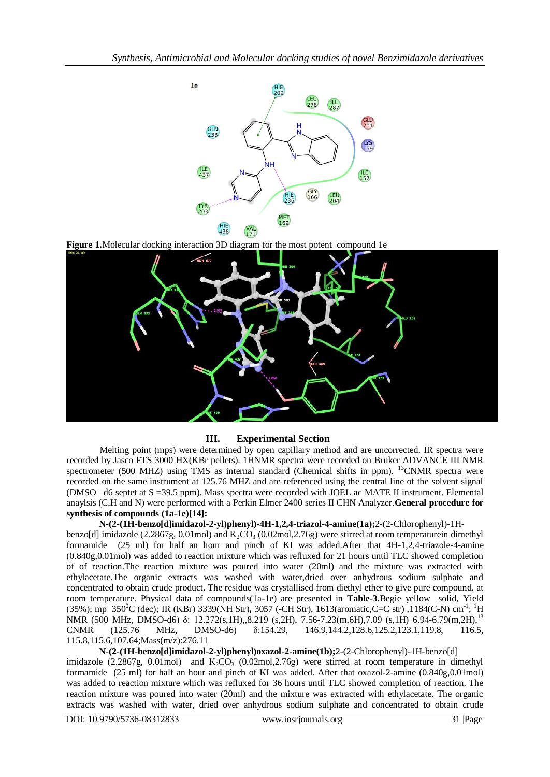

**Figure 1.**Molecular docking interaction 3D diagram for the most potent compound 1e



# **III. Experimental Section**

Melting point (mps) were determined by open capillary method and are uncorrected. IR spectra were recorded by Jasco FTS 3000 HX(KBr pellets). 1HNMR spectra were recorded on Bruker ADVANCE III NMR spectrometer (500 MHZ) using TMS as internal standard (Chemical shifts in ppm). <sup>13</sup>CNMR spectra were recorded on the same instrument at 125.76 MHZ and are referenced using the central line of the solvent signal (DMSO –d6 septet at S =39.5 ppm). Mass spectra were recorded with JOEL ac MATE II instrument. Elemental anaylsis (C,H and N) were performed with a Perkin Elmer 2400 series II CHN Analyzer.**General procedure for synthesis of compounds (1a-1e)[14]:**

**N-(2-(1H-benzo[d]imidazol-2-yl)phenyl)-4H-1,2,4-triazol-4-amine(1a);**2-(2-Chlorophenyl)-1Hbenzo[d] imidazole (2.2867g, 0.01mol) and  $K_2CO_3$  (0.02mol, 2.76g) were stirred at room temperaturein dimethyl formamide (25 ml) for half an hour and pinch of KI was added.After that 4H-1,2,4-triazole-4-amine (0.840g,0.01mol) was added to reaction mixture which was refluxed for 21 hours until TLC showed completion of of reaction.The reaction mixture was poured into water (20ml) and the mixture was extracted with ethylacetate.The organic extracts was washed with water,dried over anhydrous sodium sulphate and concentrated to obtain crude product. The residue was crystallised from diethyl ether to give pure compound. at room temperature. Physical data of compounds(1a-1e) are presented in **Table-3.**Begie yellow solid, Yield (35%); mp 350<sup>o</sup>C (dec); IR (KBr) 3339(NH Str), 3057 (-CH Str), 1613(aromatic,C=C str), 1184(C-N) cm<sup>-1</sup>; <sup>1</sup>H NMR (500 MHz, DMSO-d6) δ: 12.272(s,1H),,8.219 (s,2H), 7.56-7.23(m,6H),7.09 (s,1H) 6.94-6.79(m,2H),<sup>13</sup> CNMR (125.76 MHz, DMSO-d6) δ:154.29, 146.9,144.2,128.6,125.2,123.1,119.8, 116.5, 115.8,115.6,107.64;Mass(m/z):276.11

**N-(2-(1H-benzo[d]imidazol-2-yl)phenyl)oxazol-2-amine(1b);**2-(2-Chlorophenyl)-1H-benzo[d] imidazole (2.2867g, 0.01mol) and  $K_2CO_3$  (0.02mol, 2.76g) were stirred at room temperature in dimethyl formamide (25 ml) for half an hour and pinch of KI was added. After that oxazol-2-amine (0.840g,0.01mol) was added to reaction mixture which was refluxed for 36 hours until TLC showed completion of reaction. The reaction mixture was poured into water (20ml) and the mixture was extracted with ethylacetate. The organic extracts was washed with water, dried over anhydrous sodium sulphate and concentrated to obtain crude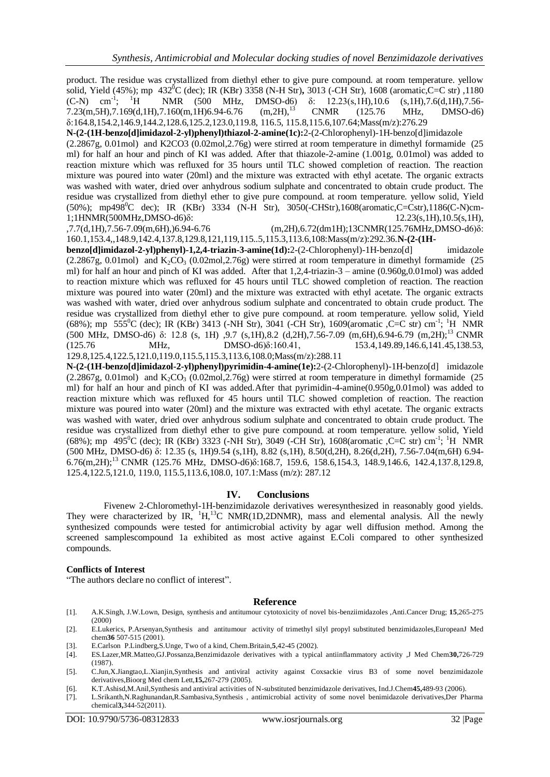product. The residue was crystallized from diethyl ether to give pure compound. at room temperature. yellow solid, Yield (45%); mp 432 <sup>0</sup>C (dec); IR (KBr) 3358 (N-H Str)**,** 3013 (-CH Str), 1608 (aromatic,C=C str) ,1180  $(C-N)$  cm<sup>-1</sup>: <sup>1</sup>H NMR (500 MHz, DMSO-d6) δ: 12.23(s,1H),10.6 (s,1H),7.6(d,1H),7.56-<br>7.160(m.1H)6.94-6.76 (m.2H),<sup>13</sup> CNMR (125.76 MHz, DMSO-d6)  $7.23(m,5H),7.169(d,1H),7.160(m,1H)6.94-6.76$   $(m,2H),^{13}$  CNMR (125.76 MHz, DMSO-d6) δ:164.8,154.2,146.9,144.2,128.6,125.2,123.0,119.8, 116.5, 115.8,115.6,107.64;Mass(m/z):276.29

**N-(2-(1H-benzo[d]imidazol-2-yl)phenyl)thiazol-2-amine(1c):**2-(2-Chlorophenyl)-1H-benzo[d]imidazole (2.2867g, 0.01mol) and K2CO3 (0.02mol,2.76g) were stirred at room temperature in dimethyl formamide (25 ml) for half an hour and pinch of KI was added. After that thiazole-2-amine (1.001g, 0.01mol) was added to reaction mixture which was refluxed for 35 hours until TLC showed completion of reaction. The reaction mixture was poured into water (20ml) and the mixture was extracted with ethyl acetate. The organic extracts was washed with water, dried over anhydrous sodium sulphate and concentrated to obtain crude product. The residue was crystallized from diethyl ether to give pure compound. at room temperature. yellow solid, Yield  $(50\%)$ ; mp498<sup>0</sup>C dec); IR (KBr) 3334 (N-H Str), 3050(-CHStr),1608(aromatic,C=Cstr),1186(C-N)cm-1;1HNMR(500MHz,DMSO-d6)δ: 12.23(s,1H),10.5(s,1H),<br>12.7(d,1H),7.56-7.09(m,6H),)6.94-6.76 (m,2H),6.72(dm1H);13CNMR(125.76MHz,DMSO-d6)δ:

 $(m,2H), 6.72(dm1H); 13CNMR(125.76MHz, DMSO-d6)\delta:$ 160.1,153.4,,148.9,142.4,137.8,129.8,121,119,115..5,115.3,113.6,108:Mass(m/z):292.36.**N-(2-(1H-**

**benzo[d]imidazol-2-yl)phenyl)-1,2,4-triazin-3-amine(1d):**2-(2-Chlorophenyl)-1H-benzo[d] imidazole  $(2.2867g, 0.01 \text{mol})$  and  $K_2CO_3$   $(0.02 \text{mol}, 2.76g)$  were stirred at room temperature in dimethyl formamide (25) ml) for half an hour and pinch of KI was added. After that 1,2,4-triazin-3 – amine (0.960g,0.01mol) was added to reaction mixture which was refluxed for 45 hours until TLC showed completion of reaction. The reaction mixture was poured into water (20ml) and the mixture was extracted with ethyl acetate. The organic extracts was washed with water, dried over anhydrous sodium sulphate and concentrated to obtain crude product. The residue was crystallized from diethyl ether to give pure compound. at room temperature. yellow solid, Yield (68%); mp 555<sup>0</sup>C (dec); IR (KBr) 3413 (-NH Str), 3041 (-CH Str), 1609(aromatic ,C=C str) cm<sup>-1</sup>; <sup>1</sup>H NMR (500 MHz, DMSO-d6) δ: 12.8 (s, 1H) ,9.7 (s,1H),8.2 (d,2H),7.56-7.09 (m,6H),6.94-6.79 (m,2H);<sup>13</sup>CNMR (125.76 MHz, DMSO-d6)δ:160.41, 153.4,149.89,146.6,141.45,138.53, 129.8,125.4,122.5,121.0,119.0,115.5,115.3,113.6,108.0;Mass(m/z):288.11

**N-(2-(1H-benzo[d]imidazol-2-yl)phenyl)pyrimidin-4-amine(1e):**2-(2-Chlorophenyl)-1H-benzo[d] imidazole (2.2867g, 0.01mol) and  $K_2CO_3$  (0.02mol, 2.76g) were stirred at room temperature in dimethyl formamide (25 ml) for half an hour and pinch of KI was added.After that pyrimidin-4-amine(0.950g,0.01mol) was added to reaction mixture which was refluxed for 45 hours until TLC showed completion of reaction. The reaction mixture was poured into water (20ml) and the mixture was extracted with ethyl acetate. The organic extracts was washed with water, dried over anhydrous sodium sulphate and concentrated to obtain crude product. The residue was crystallized from diethyl ether to give pure compound. at room temperature. yellow solid, Yield (68%); mp 495<sup>0</sup>C (dec); IR (KBr) 3323 (-NH Str), 3049 (-CH Str), 1608(aromatic ,C=C str) cm<sup>-1</sup>; <sup>1</sup>H NMR (500 MHz, DMSO-d6) δ: 12.35 (s, 1H)9.54 (s,1H), 8.82 (s,1H), 8.50(d,2H), 8.26(d,2H), 7.56-7.04(m,6H) 6.94- 6.76(m,2H); <sup>13</sup>CNMR (125.76 MHz, DMSO-d6)δ:168.7, 159.6, 158.6,154.3, 148.9,146.6, 142.4,137.8,129.8, 125.4,122.5,121.0, 119.0, 115.5,113.6,108.0, 107.1:Mass (m/z): 287.12

#### **IV. Conclusions**

Fivenew 2-Chloromethyl-1H-benzimidazole derivatives weresynthesized in reasonably good yields. They were characterized by IR,  ${}^{1}H, {}^{13}C$  NMR(1D,2DNMR), mass and elemental analysis. All the newly synthesized compounds were tested for antimicrobial activity by agar well diffusion method. Among the screened samplescompound 1a exhibited as most active against E.Coli compared to other synthesized compounds.

#### **Conflicts of Interest**

"The authors declare no conflict of interest".

#### **Reference**

- [1]. A.K.Singh, J.W.Lown, Design, synthesis and antitumour cytotoxicity of novel bis-benziimidazoles ,Anti.Cancer Drug; **15**,265-275 (2000)
- [2]. E.Lukerics, P.Arsenyan,Synthesis and antitumour activity of trimethyl silyl propyl substituted benzimidazoles,EuropeanJ Med chem**36** 507-515 (2001).
- [3]. E.Carlson P.Lindberg,S.Unge, Two of a kind, Chem.Britain,**5**,42-45 (2002).
- [4]. ES.Lazer,MR.Matteo,GJ.Possanza,Benzimidazole derivatives with a typical antiinflammatory activity ,J Med Chem**30,**726-729 (1987).
- [5]. C.Jun,X.Jiangtao,L.Xianjin,Synthesis and antiviral activity against Coxsackie virus B3 of some novel benzimidazole derivatives,Bioorg Med chem Lett,**15,**267-279 (2005).
- [6]. K.T.Ashisd,M.Anil,Synthesis and antiviral activities of N-substituted benzimidazole derivatives, Ind.J.Chem**45,**489-93 (2006).
- [7]. L.Srikanth,N.Raghunandan,R.Sambasiva,Synthesis , antimicrobial activity of some novel benimidazole derivatives,Der Pharma chemical**3,**344-52(2011).